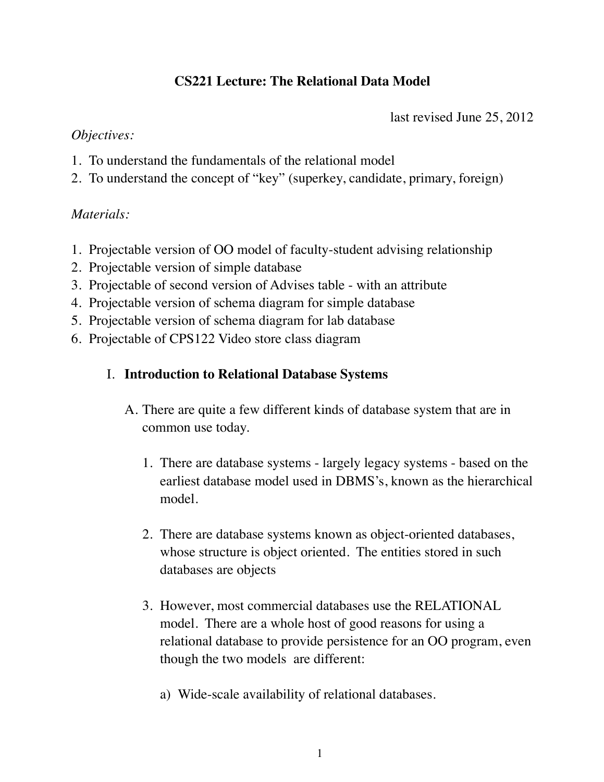# **CS221 Lecture: The Relational Data Model**

last revised June 25, 2012

## *Objectives:*

- 1. To understand the fundamentals of the relational model
- 2. To understand the concept of "key" (superkey, candidate, primary, foreign)

## *Materials:*

- 1. Projectable version of OO model of faculty-student advising relationship
- 2. Projectable version of simple database
- 3. Projectable of second version of Advises table with an attribute
- 4. Projectable version of schema diagram for simple database
- 5. Projectable version of schema diagram for lab database
- 6. Projectable of CPS122 Video store class diagram
	- I. **Introduction to Relational Database Systems**
		- A. There are quite a few different kinds of database system that are in common use today.
			- 1. There are database systems largely legacy systems based on the earliest database model used in DBMS's, known as the hierarchical model.
			- 2. There are database systems known as object-oriented databases, whose structure is object oriented. The entities stored in such databases are objects
			- 3. However, most commercial databases use the RELATIONAL model. There are a whole host of good reasons for using a relational database to provide persistence for an OO program, even though the two models are different:
				- a) Wide-scale availability of relational databases.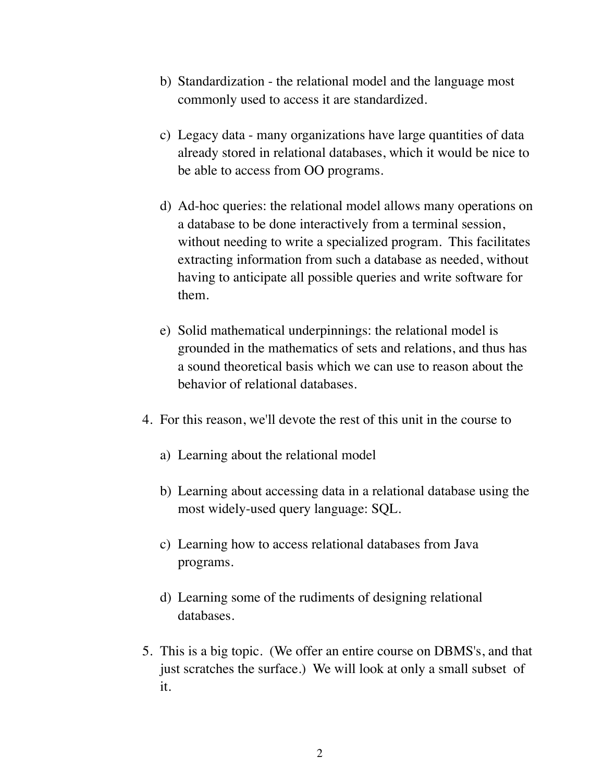- b) Standardization the relational model and the language most commonly used to access it are standardized.
- c) Legacy data many organizations have large quantities of data already stored in relational databases, which it would be nice to be able to access from OO programs.
- d) Ad-hoc queries: the relational model allows many operations on a database to be done interactively from a terminal session, without needing to write a specialized program. This facilitates extracting information from such a database as needed, without having to anticipate all possible queries and write software for them.
- e) Solid mathematical underpinnings: the relational model is grounded in the mathematics of sets and relations, and thus has a sound theoretical basis which we can use to reason about the behavior of relational databases.
- 4. For this reason, we'll devote the rest of this unit in the course to
	- a) Learning about the relational model
	- b) Learning about accessing data in a relational database using the most widely-used query language: SQL.
	- c) Learning how to access relational databases from Java programs.
	- d) Learning some of the rudiments of designing relational databases.
- 5. This is a big topic. (We offer an entire course on DBMS's, and that just scratches the surface.) We will look at only a small subset of it.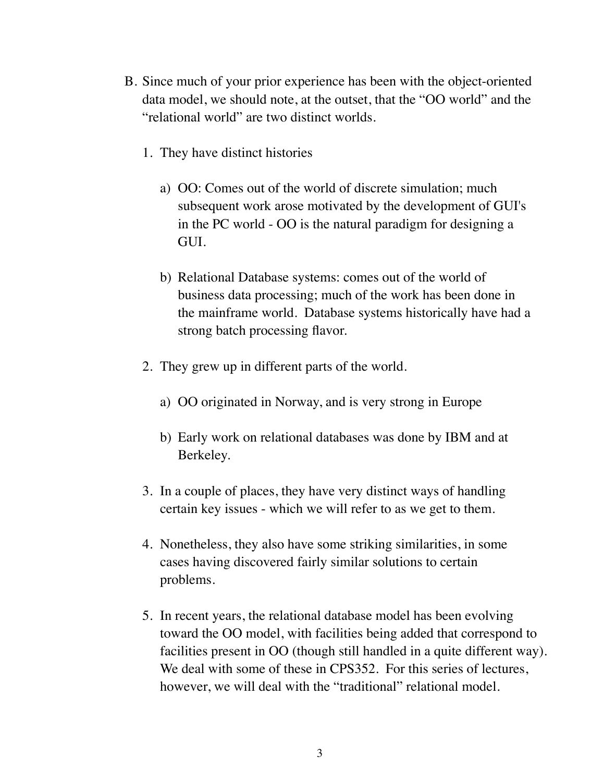- B. Since much of your prior experience has been with the object-oriented data model, we should note, at the outset, that the "OO world" and the "relational world" are two distinct worlds.
	- 1. They have distinct histories
		- a) OO: Comes out of the world of discrete simulation; much subsequent work arose motivated by the development of GUI's in the PC world - OO is the natural paradigm for designing a GUI.
		- b) Relational Database systems: comes out of the world of business data processing; much of the work has been done in the mainframe world. Database systems historically have had a strong batch processing flavor.
	- 2. They grew up in different parts of the world.
		- a) OO originated in Norway, and is very strong in Europe
		- b) Early work on relational databases was done by IBM and at Berkeley.
	- 3. In a couple of places, they have very distinct ways of handling certain key issues - which we will refer to as we get to them.
	- 4. Nonetheless, they also have some striking similarities, in some cases having discovered fairly similar solutions to certain problems.
	- 5. In recent years, the relational database model has been evolving toward the OO model, with facilities being added that correspond to facilities present in OO (though still handled in a quite different way). We deal with some of these in CPS352. For this series of lectures, however, we will deal with the "traditional" relational model.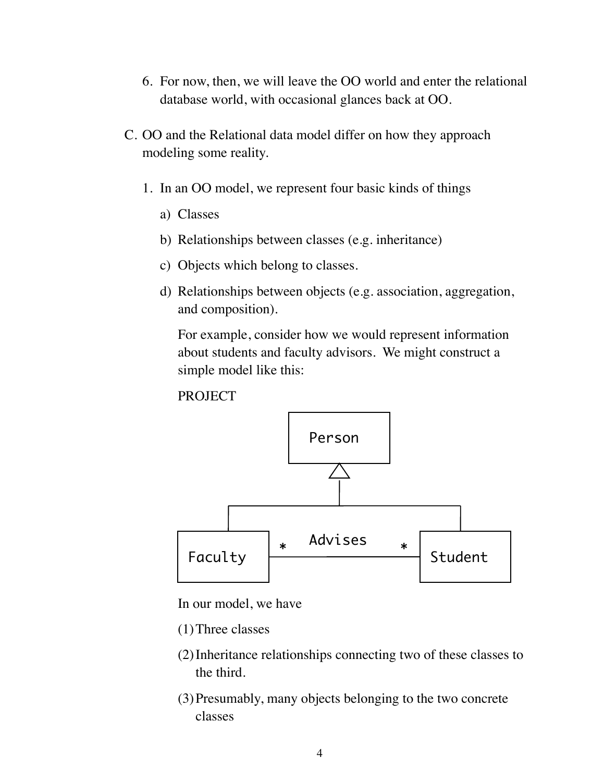- 6. For now, then, we will leave the OO world and enter the relational database world, with occasional glances back at OO.
- C. OO and the Relational data model differ on how they approach modeling some reality.
	- 1. In an OO model, we represent four basic kinds of things
		- a) Classes
		- b) Relationships between classes (e.g. inheritance)
		- c) Objects which belong to classes.
		- d) Relationships between objects (e.g. association, aggregation, and composition).

For example, consider how we would represent information about students and faculty advisors. We might construct a simple model like this:

**PROJECT** 



In our model, we have

- (1)Three classes
- (2)Inheritance relationships connecting two of these classes to the third.
- (3)Presumably, many objects belonging to the two concrete classes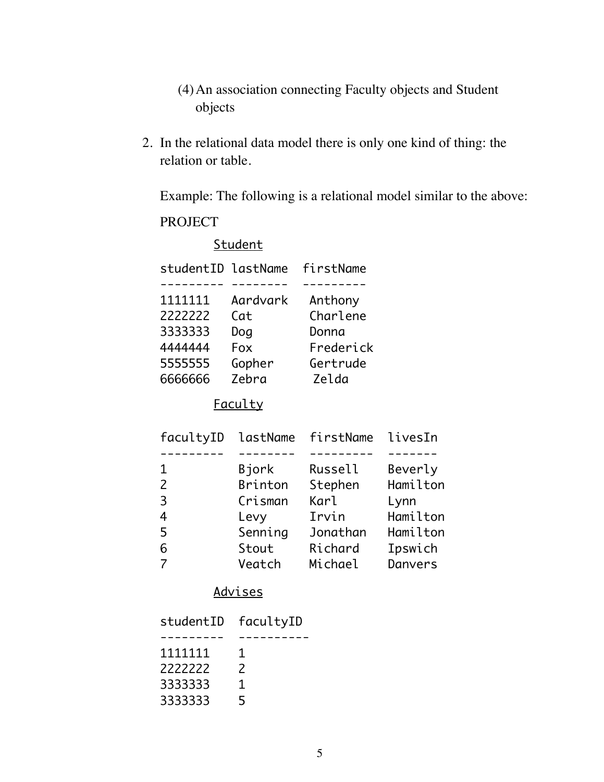- (4)An association connecting Faculty objects and Student objects
- 2. In the relational data model there is only one kind of thing: the relation or table.

Example: The following is a relational model similar to the above:

## PROJECT

|                    | Student  |           |         |
|--------------------|----------|-----------|---------|
| studentID lastName |          | firstName |         |
|                    |          |           |         |
| 1111111            | Aardvark | Anthony   |         |
| 2222222            | Cat      | Charlene  |         |
| 3333333            | Dog      | Donna     |         |
| 4444444            | Fox      | Frederick |         |
| 5555555            | Gopher   | Gertrude  |         |
| 6666666            | Zebra    | Zelda     |         |
| <u>Faculty</u>     |          |           |         |
| facultyID          | lastName | firstName | livesIn |
|                    |          |           |         |

| 1.            | Bjork   | Russell     | Beverly  |
|---------------|---------|-------------|----------|
| $\mathcal{P}$ | Brinton | Stephen     | Hamilton |
| 3             | Crisman | <b>Karl</b> | Lynn     |
| 4             | Levy    | Irvin       | Hamilton |
| 5             | Senning | Jonathan    | Hamilton |
| 6             | Stout   | Richard     | Ipswich  |
|               | Veatch  | Michael     | Danvers  |

## Advises

| studentID | facultyID |  |
|-----------|-----------|--|
|           |           |  |
| 1111111   | 1         |  |
| 2222222   | 2         |  |
| 3333333   | 1         |  |
| 3333333   | 5         |  |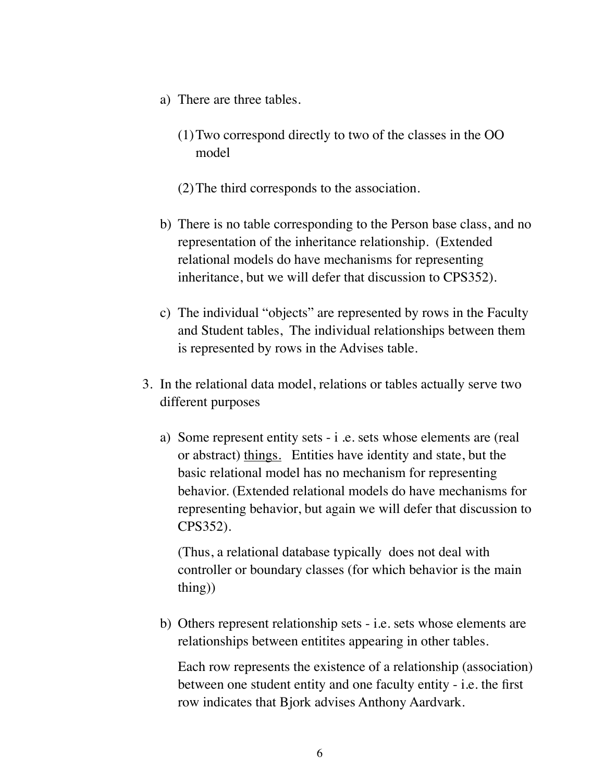- a) There are three tables.
	- (1)Two correspond directly to two of the classes in the OO model
	- (2)The third corresponds to the association.
- b) There is no table corresponding to the Person base class, and no representation of the inheritance relationship. (Extended relational models do have mechanisms for representing inheritance, but we will defer that discussion to CPS352).
- c) The individual "objects" are represented by rows in the Faculty and Student tables, The individual relationships between them is represented by rows in the Advises table.
- 3. In the relational data model, relations or tables actually serve two different purposes
	- a) Some represent entity sets i .e. sets whose elements are (real or abstract) things. Entities have identity and state, but the basic relational model has no mechanism for representing behavior. (Extended relational models do have mechanisms for representing behavior, but again we will defer that discussion to CPS352).

(Thus, a relational database typically does not deal with controller or boundary classes (for which behavior is the main thing))

b) Others represent relationship sets - i.e. sets whose elements are relationships between entitites appearing in other tables.

Each row represents the existence of a relationship (association) between one student entity and one faculty entity - i.e. the first row indicates that Bjork advises Anthony Aardvark.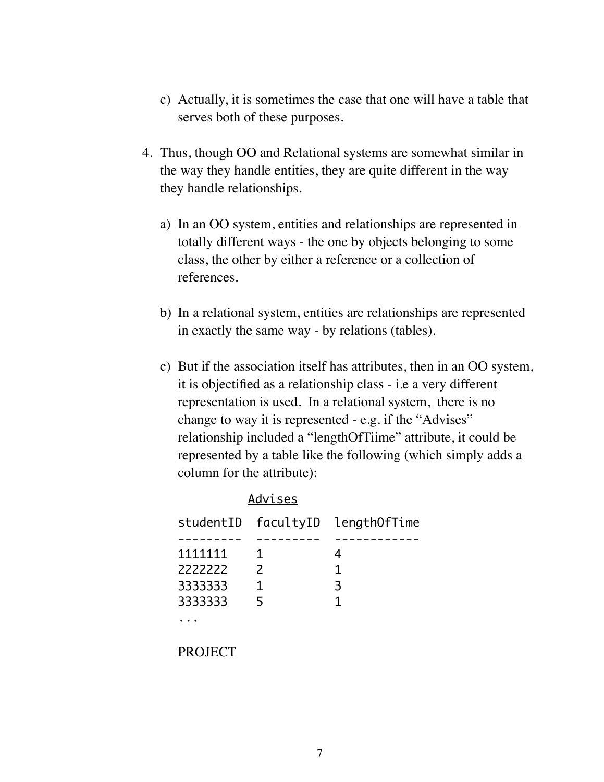- c) Actually, it is sometimes the case that one will have a table that serves both of these purposes.
- 4. Thus, though OO and Relational systems are somewhat similar in the way they handle entities, they are quite different in the way they handle relationships.
	- a) In an OO system, entities and relationships are represented in totally different ways - the one by objects belonging to some class, the other by either a reference or a collection of references.
	- b) In a relational system, entities are relationships are represented in exactly the same way - by relations (tables).
	- c) But if the association itself has attributes, then in an OO system, it is objectified as a relationship class - i.e a very different representation is used. In a relational system, there is no change to way it is represented - e.g. if the "Advises" relationship included a "lengthOfTiime" attribute, it could be represented by a table like the following (which simply adds a column for the attribute):

| Advises |               |                                  |
|---------|---------------|----------------------------------|
|         |               | studentID facultyID lengthOfTime |
|         |               |                                  |
| 1111111 | 1             |                                  |
| 2222222 | $\mathcal{P}$ | 1                                |
| 3333333 | 1             | 3                                |
| 3333333 | 5             | 1                                |
|         |               |                                  |

PROJECT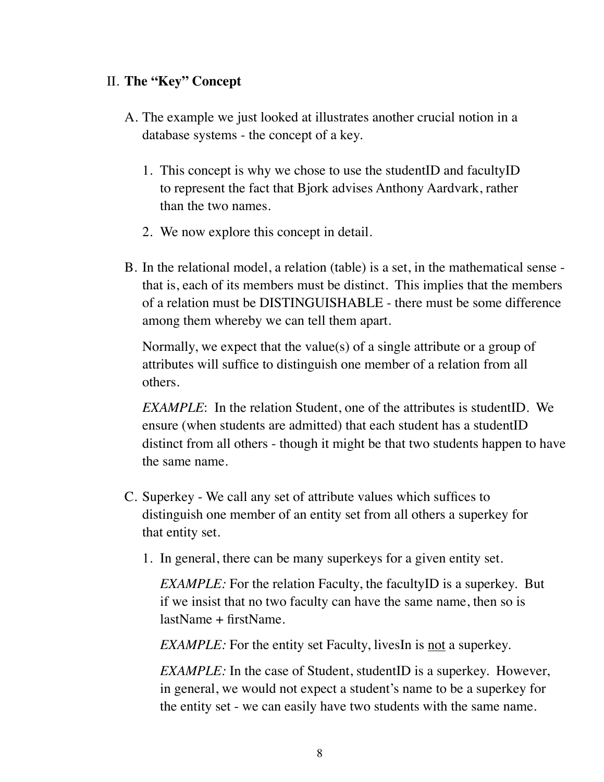## II. **The "Key" Concept**

- A. The example we just looked at illustrates another crucial notion in a database systems - the concept of a key.
	- 1. This concept is why we chose to use the studentID and facultyID to represent the fact that Bjork advises Anthony Aardvark, rather than the two names.
	- 2. We now explore this concept in detail.
- B. In the relational model, a relation (table) is a set, in the mathematical sense that is, each of its members must be distinct. This implies that the members of a relation must be DISTINGUISHABLE - there must be some difference among them whereby we can tell them apart.

Normally, we expect that the value(s) of a single attribute or a group of attributes will suffice to distinguish one member of a relation from all others.

*EXAMPLE*: In the relation Student, one of the attributes is studentID. We ensure (when students are admitted) that each student has a student ID distinct from all others - though it might be that two students happen to have the same name.

- C. Superkey We call any set of attribute values which suffices to distinguish one member of an entity set from all others a superkey for that entity set.
	- 1. In general, there can be many superkeys for a given entity set.

*EXAMPLE:* For the relation Faculty, the faculty *ID* is a superkey. But if we insist that no two faculty can have the same name, then so is lastName + firstName.

*EXAMPLE:* For the entity set Faculty, livesIn is <u>not</u> a superkey.

*EXAMPLE:* In the case of Student, studentID is a superkey. However, in general, we would not expect a student's name to be a superkey for the entity set - we can easily have two students with the same name.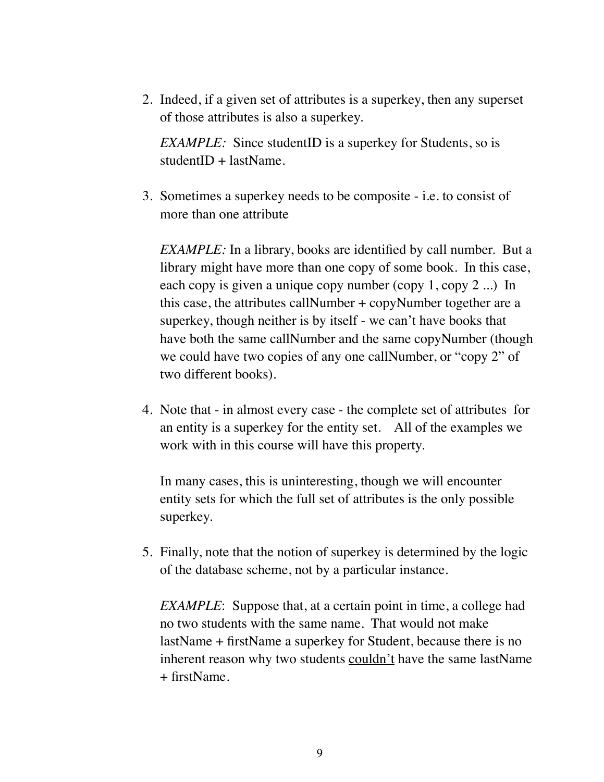2. Indeed, if a given set of attributes is a superkey, then any superset of those attributes is also a superkey.

*EXAMPLE:* Since studentID is a superkey for Students, so is  $studentID + lastName.$ 

3. Sometimes a superkey needs to be composite - i.e. to consist of more than one attribute

*EXAMPLE:* In a library, books are identified by call number. But a library might have more than one copy of some book. In this case, each copy is given a unique copy number (copy 1, copy 2 ...) In this case, the attributes callNumber + copyNumber together are a superkey, though neither is by itself - we can't have books that have both the same callNumber and the same copyNumber (though we could have two copies of any one callNumber, or "copy 2" of two different books).

4. Note that - in almost every case - the complete set of attributes for an entity is a superkey for the entity set. All of the examples we work with in this course will have this property.

In many cases, this is uninteresting, though we will encounter entity sets for which the full set of attributes is the only possible superkey.

5. Finally, note that the notion of superkey is determined by the logic of the database scheme, not by a particular instance.

*EXAMPLE*: Suppose that, at a certain point in time, a college had no two students with the same name. That would not make lastName + firstName a superkey for Student, because there is no inherent reason why two students couldn't have the same lastName + firstName.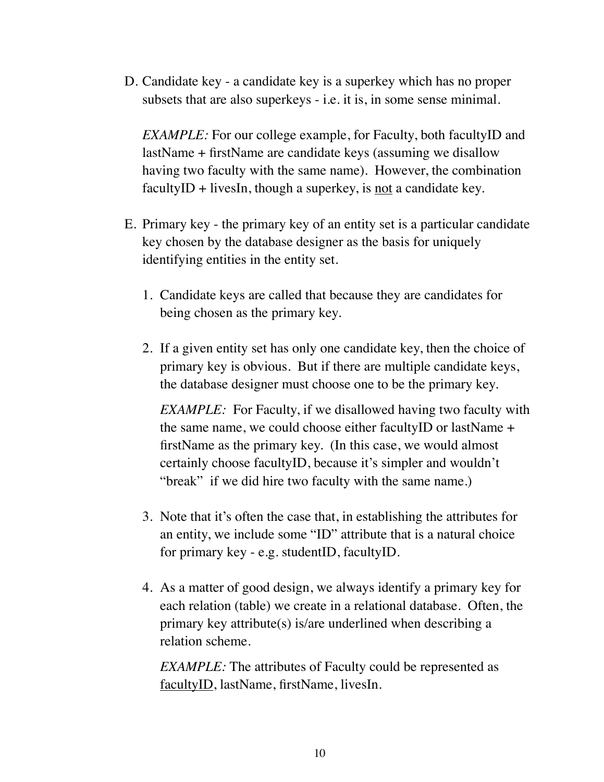D. Candidate key - a candidate key is a superkey which has no proper subsets that are also superkeys - i.e. it is, in some sense minimal.

*EXAMPLE:* For our college example, for Faculty, both facultyID and lastName + firstName are candidate keys (assuming we disallow having two faculty with the same name). However, the combination facultyID + livesIn, though a superkey, is <u>not</u> a candidate key.

- E. Primary key the primary key of an entity set is a particular candidate key chosen by the database designer as the basis for uniquely identifying entities in the entity set.
	- 1. Candidate keys are called that because they are candidates for being chosen as the primary key.
	- 2. If a given entity set has only one candidate key, then the choice of primary key is obvious. But if there are multiple candidate keys, the database designer must choose one to be the primary key.

*EXAMPLE:* For Faculty, if we disallowed having two faculty with the same name, we could choose either facultyID or lastName + firstName as the primary key. (In this case, we would almost certainly choose facultyID, because it's simpler and wouldn't "break" if we did hire two faculty with the same name.)

- 3. Note that it's often the case that, in establishing the attributes for an entity, we include some "ID" attribute that is a natural choice for primary key - e.g. studentID, facultyID.
- 4. As a matter of good design, we always identify a primary key for each relation (table) we create in a relational database. Often, the primary key attribute(s) is/are underlined when describing a relation scheme.

*EXAMPLE:* The attributes of Faculty could be represented as facultyID, lastName, firstName, livesIn.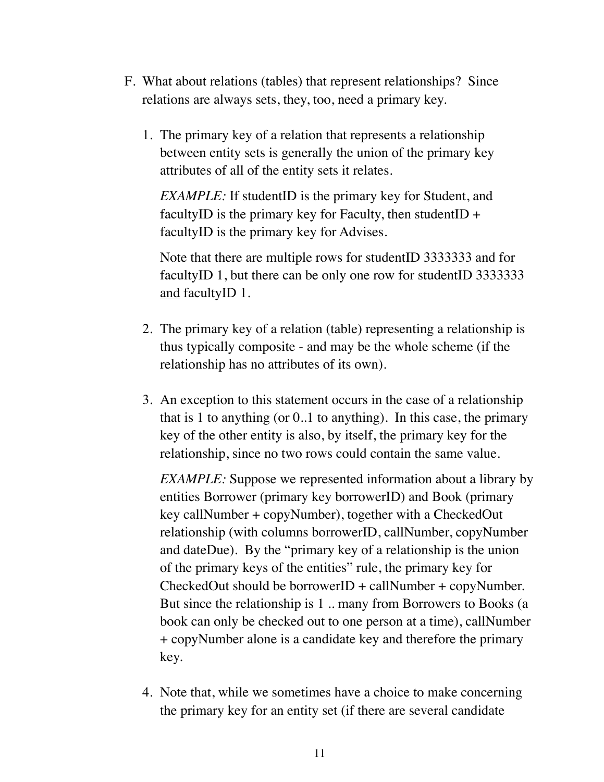- F. What about relations (tables) that represent relationships? Since relations are always sets, they, too, need a primary key.
	- 1. The primary key of a relation that represents a relationship between entity sets is generally the union of the primary key attributes of all of the entity sets it relates.

*EXAMPLE:* If studentID is the primary key for Student, and facultyID is the primary key for Faculty, then studentID  $+$ facultyID is the primary key for Advises.

Note that there are multiple rows for studentID 3333333 and for facultyID 1, but there can be only one row for studentID 33333333 and facultyID 1.

- 2. The primary key of a relation (table) representing a relationship is thus typically composite - and may be the whole scheme (if the relationship has no attributes of its own).
- 3. An exception to this statement occurs in the case of a relationship that is 1 to anything (or 0..1 to anything). In this case, the primary key of the other entity is also, by itself, the primary key for the relationship, since no two rows could contain the same value.

*EXAMPLE:* Suppose we represented information about a library by entities Borrower (primary key borrowerID) and Book (primary key callNumber + copyNumber), together with a CheckedOut relationship (with columns borrowerID, callNumber, copyNumber and dateDue). By the "primary key of a relationship is the union of the primary keys of the entities" rule, the primary key for CheckedOut should be borrowerID + callNumber + copyNumber. But since the relationship is 1 .. many from Borrowers to Books (a book can only be checked out to one person at a time), callNumber + copyNumber alone is a candidate key and therefore the primary key.

4. Note that, while we sometimes have a choice to make concerning the primary key for an entity set (if there are several candidate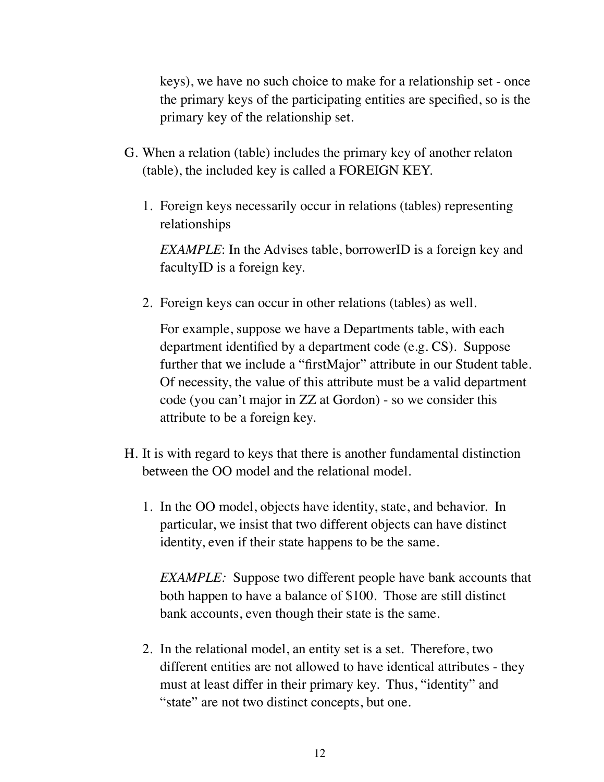keys), we have no such choice to make for a relationship set - once the primary keys of the participating entities are specified, so is the primary key of the relationship set.

- G. When a relation (table) includes the primary key of another relaton (table), the included key is called a FOREIGN KEY.
	- 1. Foreign keys necessarily occur in relations (tables) representing relationships

*EXAMPLE*: In the Advises table, borrowerID is a foreign key and facultyID is a foreign key.

2. Foreign keys can occur in other relations (tables) as well.

For example, suppose we have a Departments table, with each department identified by a department code (e.g. CS). Suppose further that we include a "firstMajor" attribute in our Student table. Of necessity, the value of this attribute must be a valid department code (you can't major in ZZ at Gordon) - so we consider this attribute to be a foreign key.

- H. It is with regard to keys that there is another fundamental distinction between the OO model and the relational model.
	- 1. In the OO model, objects have identity, state, and behavior. In particular, we insist that two different objects can have distinct identity, even if their state happens to be the same.

*EXAMPLE:* Suppose two different people have bank accounts that both happen to have a balance of \$100. Those are still distinct bank accounts, even though their state is the same.

2. In the relational model, an entity set is a set. Therefore, two different entities are not allowed to have identical attributes - they must at least differ in their primary key. Thus, "identity" and "state" are not two distinct concepts, but one.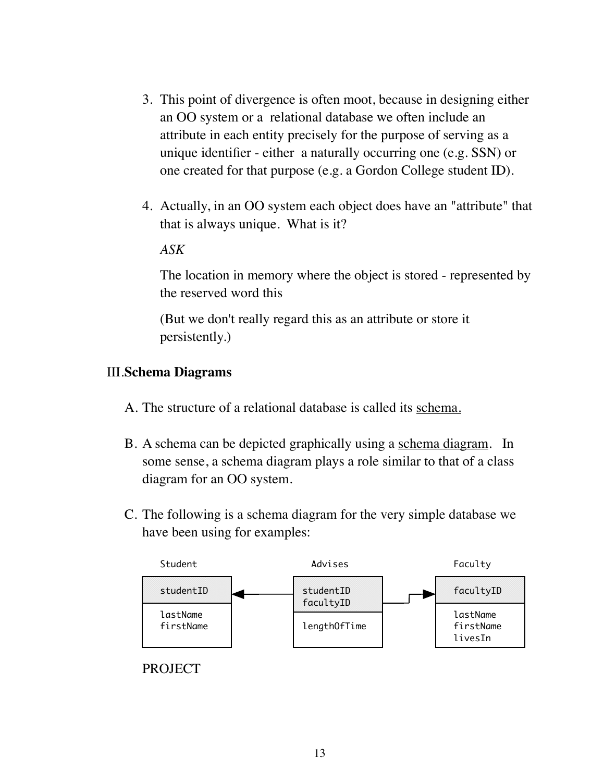- 3. This point of divergence is often moot, because in designing either an OO system or a relational database we often include an attribute in each entity precisely for the purpose of serving as a unique identifier - either a naturally occurring one (e.g. SSN) or one created for that purpose (e.g. a Gordon College student ID).
- 4. Actually, in an OO system each object does have an "attribute" that that is always unique. What is it?

#### *ASK*

The location in memory where the object is stored - represented by the reserved word this

(But we don't really regard this as an attribute or store it persistently.)

#### III.**Schema Diagrams**

- A. The structure of a relational database is called its schema.
- B. A schema can be depicted graphically using a schema diagram. In some sense, a schema diagram plays a role similar to that of a class diagram for an OO system.
- C. The following is a schema diagram for the very simple database we have been using for examples:



### **PROJECT**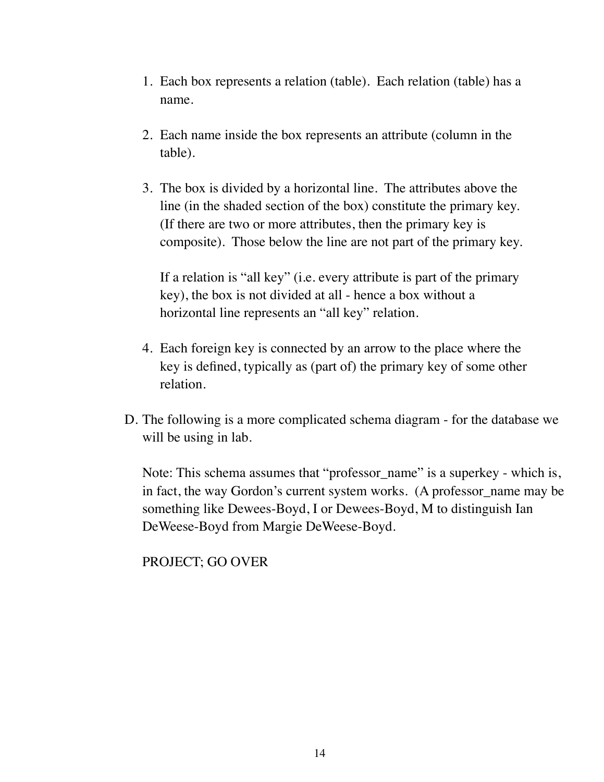- 1. Each box represents a relation (table). Each relation (table) has a name.
- 2. Each name inside the box represents an attribute (column in the table).
- 3. The box is divided by a horizontal line. The attributes above the line (in the shaded section of the box) constitute the primary key. (If there are two or more attributes, then the primary key is composite). Those below the line are not part of the primary key.

If a relation is "all key" (i.e. every attribute is part of the primary key), the box is not divided at all - hence a box without a horizontal line represents an "all key" relation.

- 4. Each foreign key is connected by an arrow to the place where the key is defined, typically as (part of) the primary key of some other relation.
- D. The following is a more complicated schema diagram for the database we will be using in lab.

Note: This schema assumes that "professor\_name" is a superkey - which is, in fact, the way Gordon's current system works. (A professor name may be something like Dewees-Boyd, I or Dewees-Boyd, M to distinguish Ian DeWeese-Boyd from Margie DeWeese-Boyd.

## PROJECT; GO OVER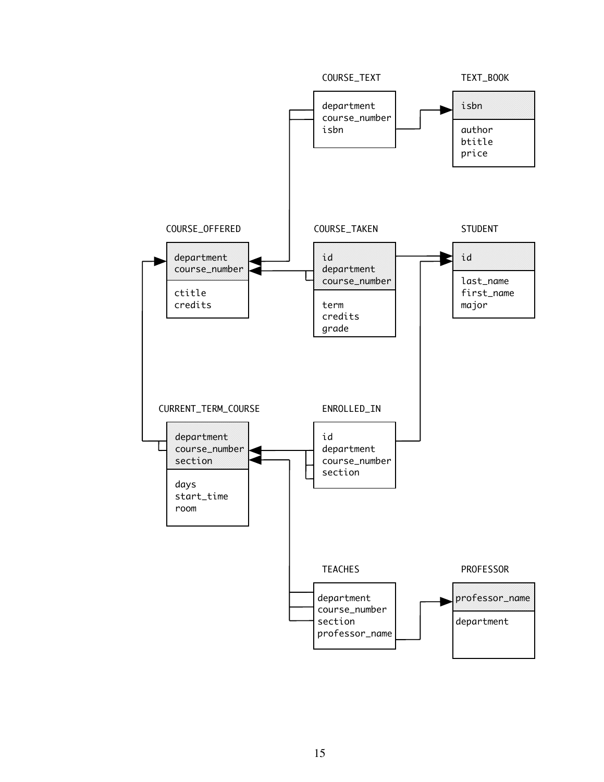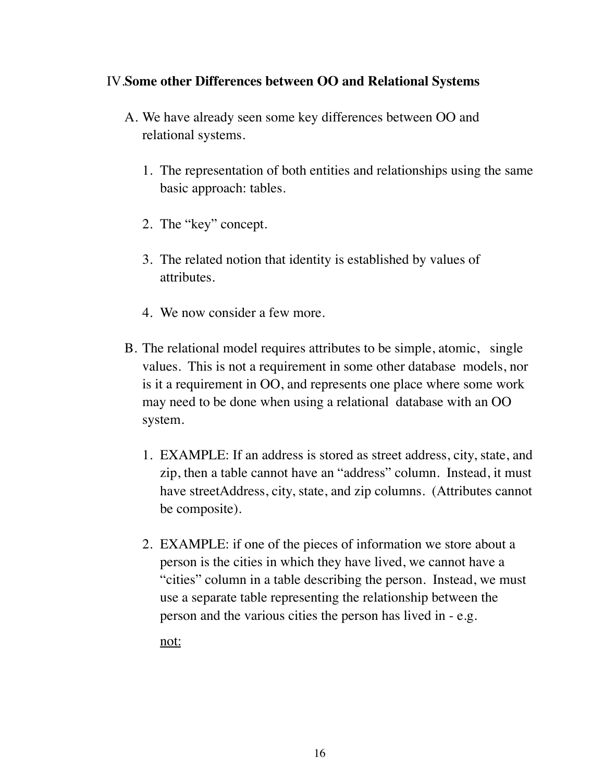## IV.**Some other Differences between OO and Relational Systems**

- A. We have already seen some key differences between OO and relational systems.
	- 1. The representation of both entities and relationships using the same basic approach: tables.
	- 2. The "key" concept.
	- 3. The related notion that identity is established by values of attributes.
	- 4. We now consider a few more.
- B. The relational model requires attributes to be simple, atomic, single values. This is not a requirement in some other database models, nor is it a requirement in OO, and represents one place where some work may need to be done when using a relational database with an OO system.
	- 1. EXAMPLE: If an address is stored as street address, city, state, and zip, then a table cannot have an "address" column. Instead, it must have streetAddress, city, state, and zip columns. (Attributes cannot be composite).
	- 2. EXAMPLE: if one of the pieces of information we store about a person is the cities in which they have lived, we cannot have a "cities" column in a table describing the person. Instead, we must use a separate table representing the relationship between the person and the various cities the person has lived in - e.g.

not: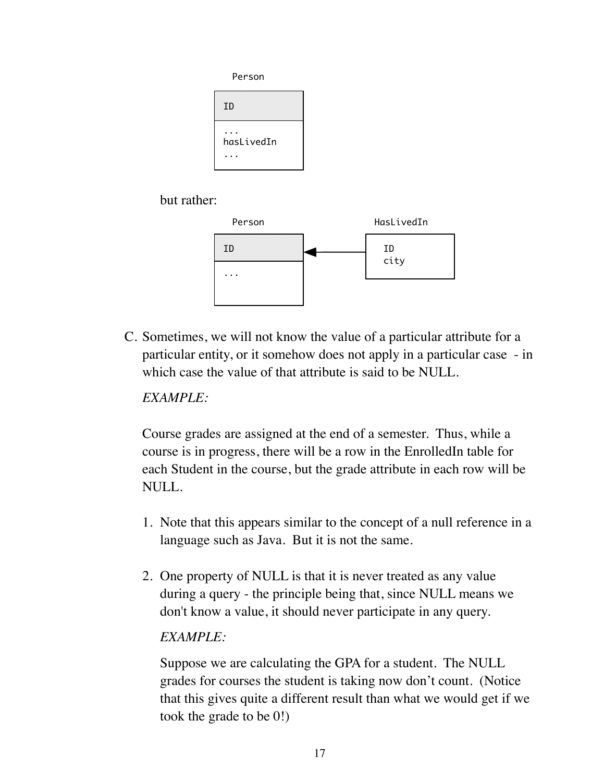

but rather:



C. Sometimes, we will not know the value of a particular attribute for a particular entity, or it somehow does not apply in a particular case - in which case the value of that attribute is said to be NULL.

*EXAMPLE:*

Course grades are assigned at the end of a semester. Thus, while a course is in progress, there will be a row in the EnrolledIn table for each Student in the course, but the grade attribute in each row will be NULL.

- 1. Note that this appears similar to the concept of a null reference in a language such as Java. But it is not the same.
- 2. One property of NULL is that it is never treated as any value during a query - the principle being that, since NULL means we don't know a value, it should never participate in any query.

## *EXAMPLE:*

Suppose we are calculating the GPA for a student. The NULL grades for courses the student is taking now don't count. (Notice that this gives quite a different result than what we would get if we took the grade to be 0!)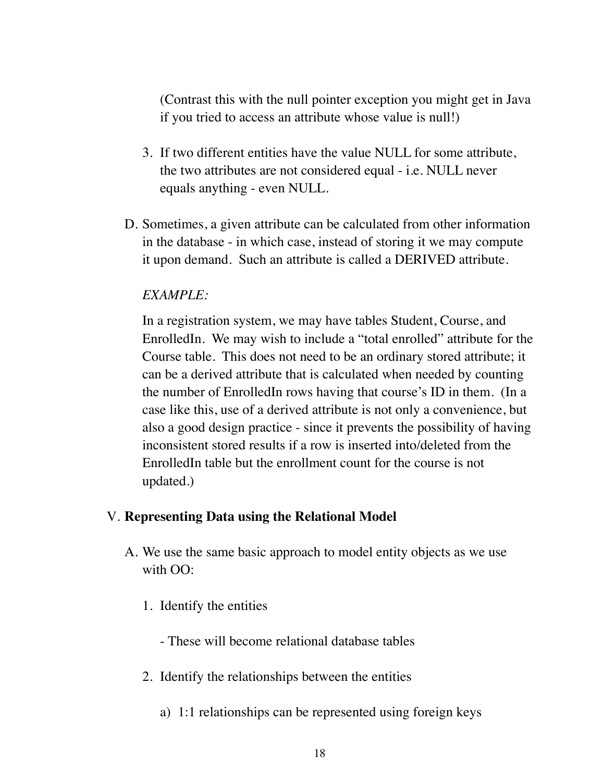(Contrast this with the null pointer exception you might get in Java if you tried to access an attribute whose value is null!)

- 3. If two different entities have the value NULL for some attribute, the two attributes are not considered equal - i.e. NULL never equals anything - even NULL.
- D. Sometimes, a given attribute can be calculated from other information in the database - in which case, instead of storing it we may compute it upon demand. Such an attribute is called a DERIVED attribute.

## *EXAMPLE:*

In a registration system, we may have tables Student, Course, and EnrolledIn. We may wish to include a "total enrolled" attribute for the Course table. This does not need to be an ordinary stored attribute; it can be a derived attribute that is calculated when needed by counting the number of EnrolledIn rows having that course's ID in them. (In a case like this, use of a derived attribute is not only a convenience, but also a good design practice - since it prevents the possibility of having inconsistent stored results if a row is inserted into/deleted from the EnrolledIn table but the enrollment count for the course is not updated.)

### V. **Representing Data using the Relational Model**

- A. We use the same basic approach to model entity objects as we use with OO:
	- 1. Identify the entities

- These will become relational database tables

- 2. Identify the relationships between the entities
	- a) 1:1 relationships can be represented using foreign keys